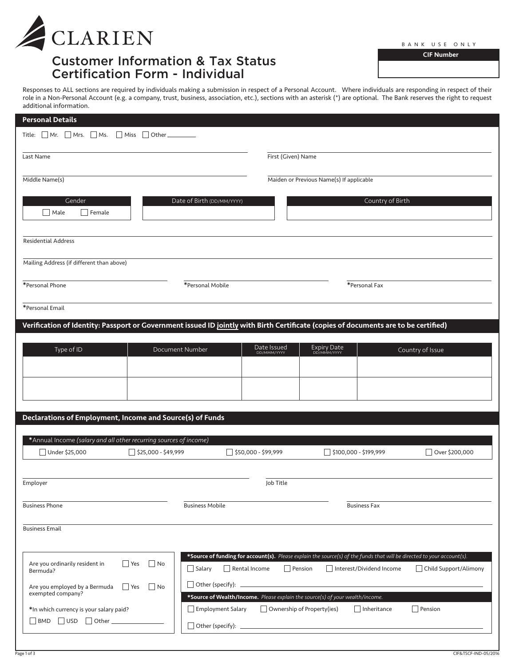

# Customer Information & Tax Status Certification Form - Individual

CIF Number

Responses to ALL sections are required by individuals making a submission in respect of a Personal Account. Where individuals are responding in respect of their role in a Non-Personal Account (e.g. a company, trust, business, association, etc.), sections with an asterisk (\*) are optional. The Bank reserves the right to request additional information.

| <b>Personal Details</b>                                                                                                             |                                                                               |                                                                                                                                                                      |                       |
|-------------------------------------------------------------------------------------------------------------------------------------|-------------------------------------------------------------------------------|----------------------------------------------------------------------------------------------------------------------------------------------------------------------|-----------------------|
| Title: $\Box$ Mr. $\Box$ Mrs. $\Box$ Ms.<br>    Miss<br>  Other_                                                                    |                                                                               |                                                                                                                                                                      |                       |
| Last Name                                                                                                                           | First (Given) Name                                                            |                                                                                                                                                                      |                       |
| Middle Name(s)                                                                                                                      |                                                                               | Maiden or Previous Name(s) If applicable                                                                                                                             |                       |
| Gender<br>    Male<br>  Female                                                                                                      | Date of Birth (DD/MM/YYYY)                                                    | Country of Birth                                                                                                                                                     |                       |
| <b>Residential Address</b>                                                                                                          |                                                                               |                                                                                                                                                                      |                       |
| Mailing Address (if different than above)                                                                                           |                                                                               |                                                                                                                                                                      |                       |
| *Personal Phone                                                                                                                     | *Personal Mobile                                                              | *Personal Fax                                                                                                                                                        |                       |
| *Personal Email                                                                                                                     |                                                                               |                                                                                                                                                                      |                       |
| Verification of Identity: Passport or Government issued ID jointly with Birth Certificate (copies of documents are to be certified) |                                                                               |                                                                                                                                                                      |                       |
| Type of ID                                                                                                                          | Date Issued<br>DD/MMM/YYYY<br>Document Number                                 | Expiry Date                                                                                                                                                          | Country of Issue      |
|                                                                                                                                     |                                                                               |                                                                                                                                                                      |                       |
|                                                                                                                                     |                                                                               |                                                                                                                                                                      |                       |
| Declarations of Employment, Income and Source(s) of Funds                                                                           |                                                                               |                                                                                                                                                                      |                       |
| *Annual Income (salary and all other recurring sources of income)<br>$\Box$ \$25,000 - \$49,999<br>Under \$25,000                   | $\Box$ \$50,000 - \$99,999                                                    | $\Box$ \$100,000 - \$199,999                                                                                                                                         | Over \$200,000        |
|                                                                                                                                     |                                                                               |                                                                                                                                                                      |                       |
| Employer                                                                                                                            | Job Title                                                                     |                                                                                                                                                                      |                       |
| <b>Business Phone</b>                                                                                                               | <b>Business Mobile</b>                                                        | <b>Business Fax</b>                                                                                                                                                  |                       |
| <b>Business Email</b>                                                                                                               |                                                                               |                                                                                                                                                                      |                       |
| Are you ordinarily resident in<br>  No<br>  Yes<br>Bermuda?                                                                         | Rental Income<br>Salary                                                       | *Source of funding for account(s). Please explain the source(s) of the funds that will be directed to your account(s).<br>$\Box$ Pension<br>Interest/Dividend Income | Child Support/Alimony |
| Are you employed by a Bermuda<br>$\vert$ No<br>$ $ Yes<br>exempted company?                                                         | *Source of Wealth/Income. Please explain the source(s) of your wealth/income. |                                                                                                                                                                      |                       |
| *In which currency is your salary paid?<br>    BMD     USD     Other __________________                                             | $\Box$ Employment Salary                                                      | $\Box$ Ownership of Property(ies)<br>$\Box$ Inheritance                                                                                                              | $\Box$ Pension        |
|                                                                                                                                     | $\Box$ Other (specify): $\Box$                                                | <u> 1989 - Johann Barbara, martxa alemaniar a</u>                                                                                                                    |                       |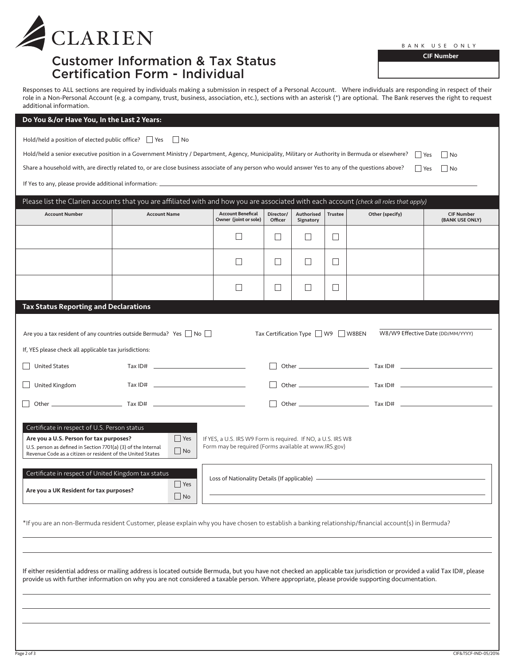| <b>CLARIEN</b> |
|----------------|
|                |

## Customer Information & Tax Status Certification Form - Individual

BANK USE ONLY

CIF Number

No

Responses to ALL sections are required by individuals making a submission in respect of a Personal Account. Where individuals are responding in respect of their role in a Non-Personal Account (e.g. a company, trust, business, association, etc.), sections with an asterisk (\*) are optional. The Bank reserves the right to request additional information.

### Do You &/or Have You, In the Last 2 Years:

| Hold/held a position of elected public office? $\Box$ Yes $\Box$ No |  |  |
|---------------------------------------------------------------------|--|--|
|---------------------------------------------------------------------|--|--|

| Hold/held a senior executive position in a Government Ministry / Department, Agency, Municipality, Military or Authority in Bermuda or elsewhere? $\Box$ Yes $\Box$ |  |
|---------------------------------------------------------------------------------------------------------------------------------------------------------------------|--|
|                                                                                                                                                                     |  |

■ Yes ■ No Share a household with, are directly related to, or are close business associate of any person who would answer Yes to any of the questions above?

If Yes to any, please provide additional information:

| <b>Account Number</b>                                                                                                                                                                                                                                                                                                    | <b>Account Name</b>                                                                                                                                                                                                                                                                                                                                                | <b>Account Benefical</b><br>Owner (joint or sole)                                                                     | Director/<br>Officer | Authorised<br>Signatory                 | <b>Trustee</b> | Other (specify) | <b>CIF Number</b><br>(BANK USE ONLY) |
|--------------------------------------------------------------------------------------------------------------------------------------------------------------------------------------------------------------------------------------------------------------------------------------------------------------------------|--------------------------------------------------------------------------------------------------------------------------------------------------------------------------------------------------------------------------------------------------------------------------------------------------------------------------------------------------------------------|-----------------------------------------------------------------------------------------------------------------------|----------------------|-----------------------------------------|----------------|-----------------|--------------------------------------|
|                                                                                                                                                                                                                                                                                                                          |                                                                                                                                                                                                                                                                                                                                                                    | $\Box$                                                                                                                | $\vert \ \ \vert$    | $\Box$                                  | $\Box$         |                 |                                      |
|                                                                                                                                                                                                                                                                                                                          |                                                                                                                                                                                                                                                                                                                                                                    | $\mathsf{L}$                                                                                                          | П                    | $\Box$                                  | $\Box$         |                 |                                      |
|                                                                                                                                                                                                                                                                                                                          |                                                                                                                                                                                                                                                                                                                                                                    | П                                                                                                                     | $\mathsf{L}$         | $\Box$                                  | $\Box$         |                 |                                      |
| <b>Tax Status Reporting and Declarations</b>                                                                                                                                                                                                                                                                             |                                                                                                                                                                                                                                                                                                                                                                    |                                                                                                                       |                      |                                         |                |                 |                                      |
| If, YES please check all applicable tax jurisdictions:                                                                                                                                                                                                                                                                   | Are you a tax resident of any countries outside Bermuda? Yes $\Box$ No $\Box$                                                                                                                                                                                                                                                                                      |                                                                                                                       |                      | Tax Certification Type     W9     W8BEN |                |                 | W8/W9 Effective Date (DD/MM/YYYY)    |
| <b>United States</b>                                                                                                                                                                                                                                                                                                     | $\begin{picture}(180,10) \put(0,0){\vector(1,0){100}} \put(15,0){\vector(1,0){100}} \put(15,0){\vector(1,0){100}} \put(15,0){\vector(1,0){100}} \put(15,0){\vector(1,0){100}} \put(15,0){\vector(1,0){100}} \put(15,0){\vector(1,0){100}} \put(15,0){\vector(1,0){100}} \put(15,0){\vector(1,0){100}} \put(15,0){\vector(1,0){100}} \put(15,0){\vector(1,0){100}}$ |                                                                                                                       |                      |                                         |                |                 |                                      |
| United Kingdom                                                                                                                                                                                                                                                                                                           |                                                                                                                                                                                                                                                                                                                                                                    |                                                                                                                       |                      |                                         |                |                 |                                      |
|                                                                                                                                                                                                                                                                                                                          |                                                                                                                                                                                                                                                                                                                                                                    |                                                                                                                       |                      |                                         |                |                 |                                      |
| Certificate in respect of U.S. Person status<br>Are you a U.S. Person for tax purposes?<br>U.S. person as defined in Section 7701(a) (3) of the Internal<br>Revenue Code as a citizen or resident of the United States<br>Certificate in respect of United Kingdom tax status<br>Are you a UK Resident for tax purposes? | $\Box$ Yes<br>$\Box$ No<br>$\Box$ Yes<br>$\Box$ No                                                                                                                                                                                                                                                                                                                 | If YES, a U.S. IRS W9 Form is required. If NO, a U.S. IRS W8<br>Form may be required (Forms available at www.IRS.gov) |                      |                                         |                |                 |                                      |
|                                                                                                                                                                                                                                                                                                                          | *If you are an non-Bermuda resident Customer, please explain why you have chosen to establish a banking relationship/financial account(s) in Bermuda?                                                                                                                                                                                                              |                                                                                                                       |                      |                                         |                |                 |                                      |
|                                                                                                                                                                                                                                                                                                                          |                                                                                                                                                                                                                                                                                                                                                                    |                                                                                                                       |                      |                                         |                |                 |                                      |
|                                                                                                                                                                                                                                                                                                                          | If either residential address or mailing address is located outside Bermuda, but you have not checked an applicable tax jurisdiction or provided a valid Tax ID#, please<br>provide us with further information on why you are not considered a taxable person. Where appropriate, please provide supporting documentation.                                        |                                                                                                                       |                      |                                         |                |                 |                                      |
|                                                                                                                                                                                                                                                                                                                          |                                                                                                                                                                                                                                                                                                                                                                    |                                                                                                                       |                      |                                         |                |                 |                                      |